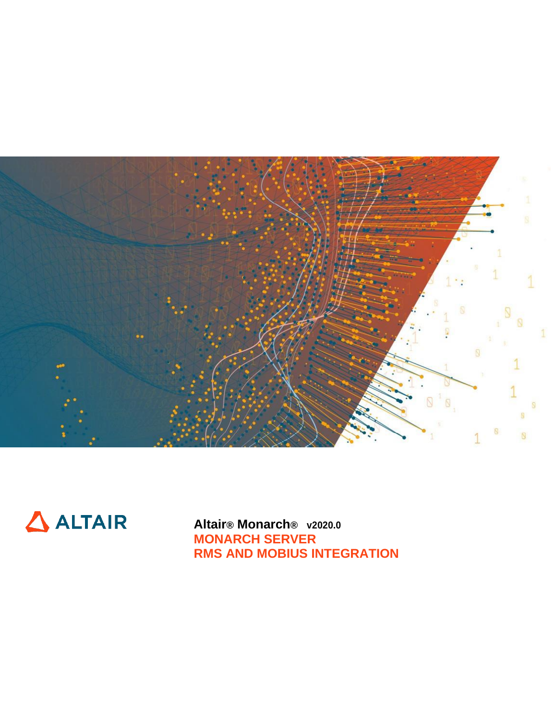



**Altair® Monarch® v2020.0 MONARCH SERVER RMS AND MOBIUS INTEGRATION**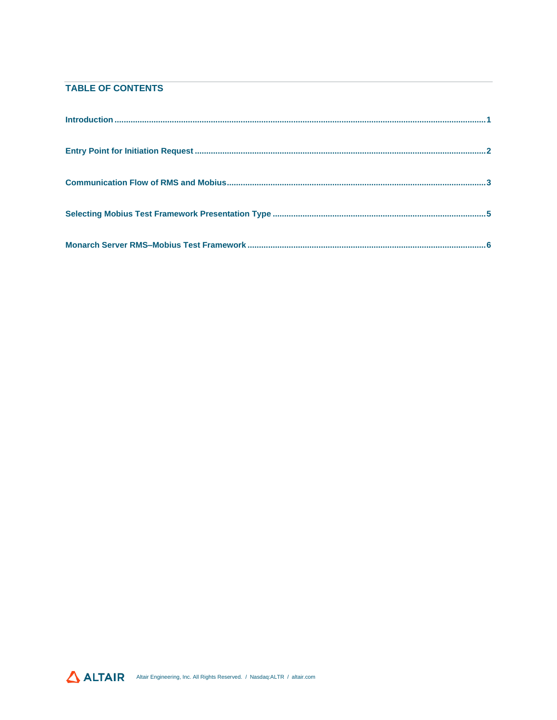### **TABLE OF CONTENTS**

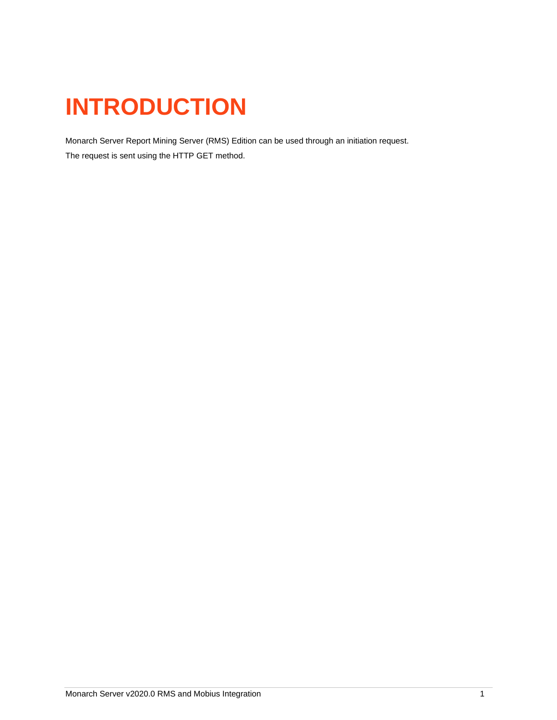# <span id="page-2-0"></span>**INTRODUCTION**

Monarch Server Report Mining Server (RMS) Edition can be used through an initiation request.

The request is sent using the HTTP GET method.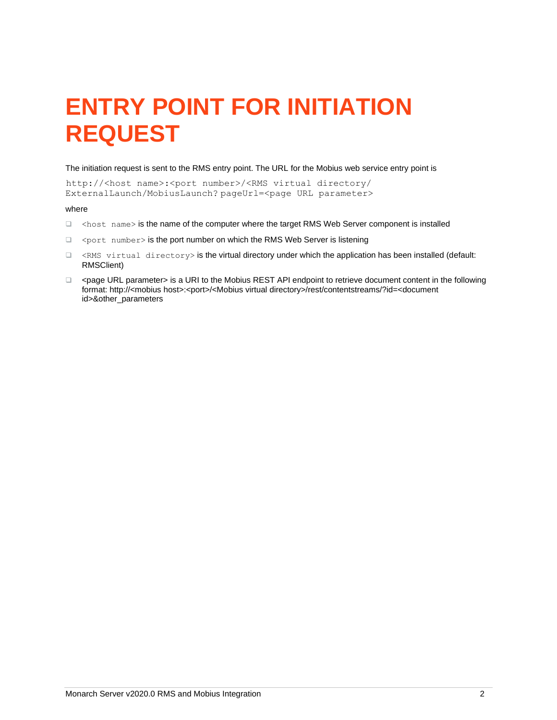## <span id="page-3-0"></span>**ENTRY POINT FOR INITIATION REQUEST**

The initiation request is sent to the RMS entry point. The URL for the Mobius web service entry point is

http://<host name>:<port number>/<RMS virtual directory/ ExternalLaunch/MobiusLaunch? pageUrl=<page URL parameter>

#### where

- ❑ <host name> is the name of the computer where the target RMS Web Server component is installed
- □ <port number> is the port number on which the RMS Web Server is listening
- ❑ <RMS virtual directory> is the virtual directory under which the application has been installed (default: RMSClient)
- ❑ <page URL parameter> is a URI to the Mobius REST API endpoint to retrieve document content in the following format: http://<mobius host>:<port>/<Mobius virtual directory>/rest/contentstreams/?id=<document id>&other\_parameters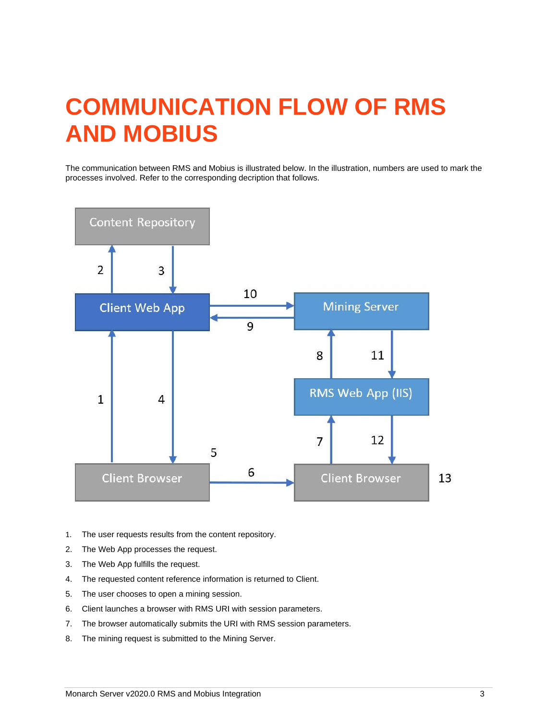### <span id="page-4-0"></span>**COMMUNICATION FLOW OF RMS AND MOBIUS**

The communication between RMS and Mobius is illustrated below. In the illustration, numbers are used to mark the processes involved. Refer to the corresponding decription that follows.



- 1. The user requests results from the content repository.
- 2. The Web App processes the request.
- 3. The Web App fulfills the request.
- 4. The requested content reference information is returned to Client.
- 5. The user chooses to open a mining session.
- 6. Client launches a browser with RMS URI with session parameters.
- 7. The browser automatically submits the URI with RMS session parameters.
- 8. The mining request is submitted to the Mining Server.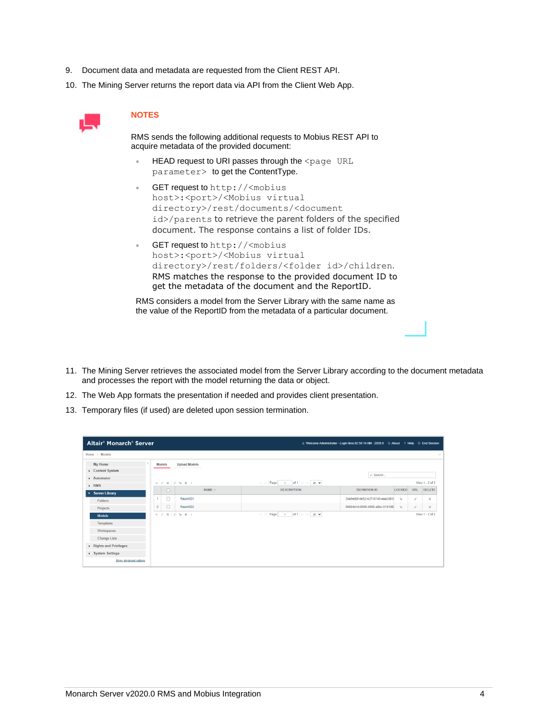- 9. Document data and metadata are requested from the Client REST API.
- 10. The Mining Server returns the report data via API from the Client Web App.



#### **NOTES**

RMS sends the following additional requests to Mobius REST API to acquire metadata of the provided document:

- HEAD request to URI passes through the <page URL parameter> to get the ContentType.
- GET request to http://<mobius host>:<port>/<Mobius virtual directory>/rest/documents/<document id>/parents to retrieve the parent folders of the specified document. The response contains a list of folder IDs.
- GET request to http://<mobius host>:<port>/<Mobius virtual directory>/rest/folders/<folder id>/children. RMS matches the response to the provided document ID to get the metadata of the document and the ReportID.

RMS considers a model from the Server Library with the same name as the value of the ReportID from the metadata of a particular document.

- 11. The Mining Server retrieves the associated model from the Server Library according to the document metadata and processes the report with the model returning the data or object.
- 12. The Web App formats the presentation if needed and provides client presentation.
- 13. Temporary files (if used) are deleted upon session termination.

| Altair <sup>®</sup> Monarch <sup>®</sup> Server |                |    |                                                        |                   |                                                                                                                                               | & Welcome Administrator - Login time:02:50:14 AM - 2020.0 2 About ? Help $\quad$ End Session |               |               |                   |
|-------------------------------------------------|----------------|----|--------------------------------------------------------|-------------------|-----------------------------------------------------------------------------------------------------------------------------------------------|----------------------------------------------------------------------------------------------|---------------|---------------|-------------------|
| Home > Models                                   |                |    |                                                        |                   |                                                                                                                                               |                                                                                              |               |               | $\sim$            |
| My Home                                         | <b>Models</b>  |    | <b>Upload Models</b>                                   |                   |                                                                                                                                               |                                                                                              |               |               |                   |
| Content System                                  |                |    |                                                        |                   |                                                                                                                                               | D Search                                                                                     |               |               |                   |
| $\blacktriangleright$ Automator                 |                |    | $+$ $\times$ $\times$ $+$ $\phi$ $\times$ $\times$ $+$ |                   | $1$ of 1 $\gg$ $\approx$ 20 $\blacktriangleright$<br>Tel: <d page="" td=""  =""  <=""><td></td><td></td><td></td><td>View 1 - 2 of 2</td></d> |                                                                                              |               |               | View 1 - 2 of 2   |
| $\triangleright$ RMS                            |                | ι. |                                                        | $NAME \triangleq$ | <b>DESCRIPTION</b>                                                                                                                            | <b>DEFINITION ID</b>                                                                         | <b>LOCKED</b> | <b>URL</b>    | DELETE            |
| * Server Library<br>Folders                     |                | C  | ReportID1                                              |                   |                                                                                                                                               | 3da0e8bf-de52-4cf7-8140-eaa3493                                                              | 2a            | $\mathcal{S}$ | $_{\rm x}$        |
| Projects                                        | $\overline{c}$ | C  | ReportID2                                              |                   |                                                                                                                                               | 06604e1d-6500-4890-a8bc-51616f2                                                              | 2a            | $\mathcal{S}$ | $\mathcal{Y}_n^*$ |
| <b>Models</b>                                   |                |    | $+780$                                                 |                   | $\sim$ $\sim$ Page<br>$1$ of $1$ $\gg$ $\approx$ 20 $\sim$                                                                                    |                                                                                              |               |               | View 1 - 2 of 2   |
| Templates                                       |                |    |                                                        |                   |                                                                                                                                               |                                                                                              |               |               |                   |
| Workspaces                                      |                |    |                                                        |                   |                                                                                                                                               |                                                                                              |               |               |                   |
| <b>Change Lists</b>                             |                |    |                                                        |                   |                                                                                                                                               |                                                                                              |               |               |                   |
| Rights and Privileges                           |                |    |                                                        |                   |                                                                                                                                               |                                                                                              |               |               |                   |
| > System Settings                               |                |    |                                                        |                   |                                                                                                                                               |                                                                                              |               |               |                   |
| Show advanced options                           |                |    |                                                        |                   |                                                                                                                                               |                                                                                              |               |               |                   |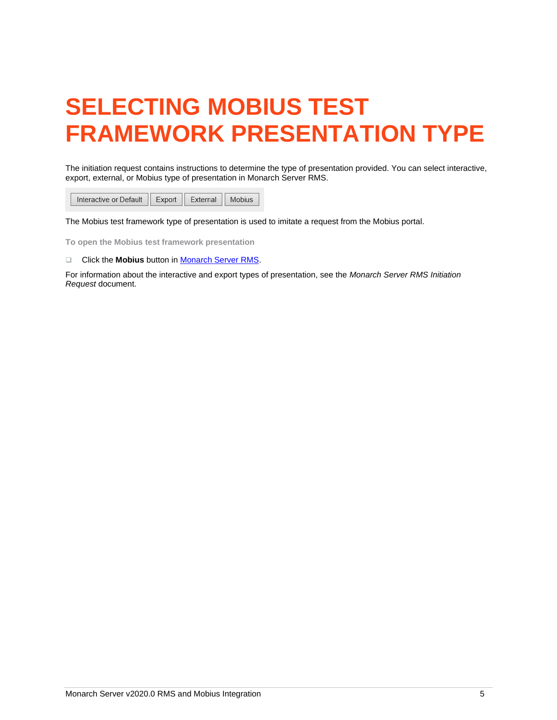# <span id="page-6-0"></span>**SELECTING MOBIUS TEST FRAMEWORK PRESENTATION TYPE**

The initiation request contains instructions to determine the type of presentation provided. You can select interactive, export, external, or Mobius type of presentation in Monarch Server RMS.

Interactive or Default  $Export$ External Mobius

The Mobius test framework type of presentation is used to imitate a request from the Mobius portal.

**To open the Mobius test framework presentation**

❑ Click the **Mobius** button in [Monarch Server RMS.](#page-7-1)

For information about the interactive and export types of presentation, see the *Monarch Server RMS Initiation Request* document.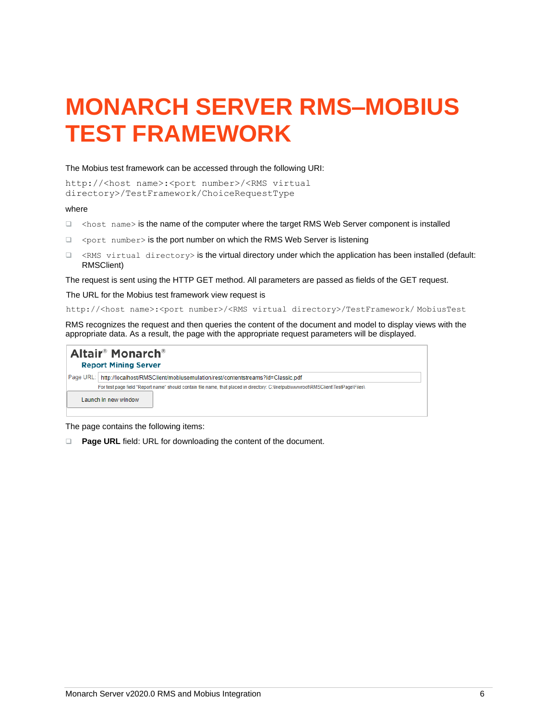### <span id="page-7-0"></span>**MONARCH SERVER RMS–MOBIUS TEST FRAMEWORK**

#### <span id="page-7-1"></span>The Mobius test framework can be accessed through the following URI:

```
http://<host name>:<port number>/<RMS virtual
directory>/TestFramework/ChoiceRequestType
```
#### where

- ❑ <host name> is the name of the computer where the target RMS Web Server component is installed
- ❑ <port number> is the port number on which the RMS Web Server is listening
- ❑ <RMS virtual directory> is the virtual directory under which the application has been installed (default: RMSClient)

The request is sent using the HTTP GET method. All parameters are passed as fields of the GET request.

The URL for the Mobius test framework view request is

http://<host name>:<port number>/<RMS virtual directory>/TestFramework/ MobiusTest

RMS recognizes the request and then queries the content of the document and model to display views with the appropriate data. As a result, the page with the appropriate request parameters will be displayed.

| <b>Altair<sup>®</sup> Monarch<sup>®</sup></b><br><b>Report Mining Server</b>                 |                                                                                                                                                            |  |  |  |  |  |  |
|----------------------------------------------------------------------------------------------|------------------------------------------------------------------------------------------------------------------------------------------------------------|--|--|--|--|--|--|
| http://localhost/RMSClient/mobiusemulation/rest/contentstreams?id=Classic.pdf<br>Page URL: I |                                                                                                                                                            |  |  |  |  |  |  |
|                                                                                              | For test page field "Report name" should contain file name, that placed in directory: C:\Inetpub\wwwroof\RMSClienf\TestPage\Files\<br>Launch in new window |  |  |  |  |  |  |

The page contains the following items:

❑ **Page URL** field: URL for downloading the content of the document.